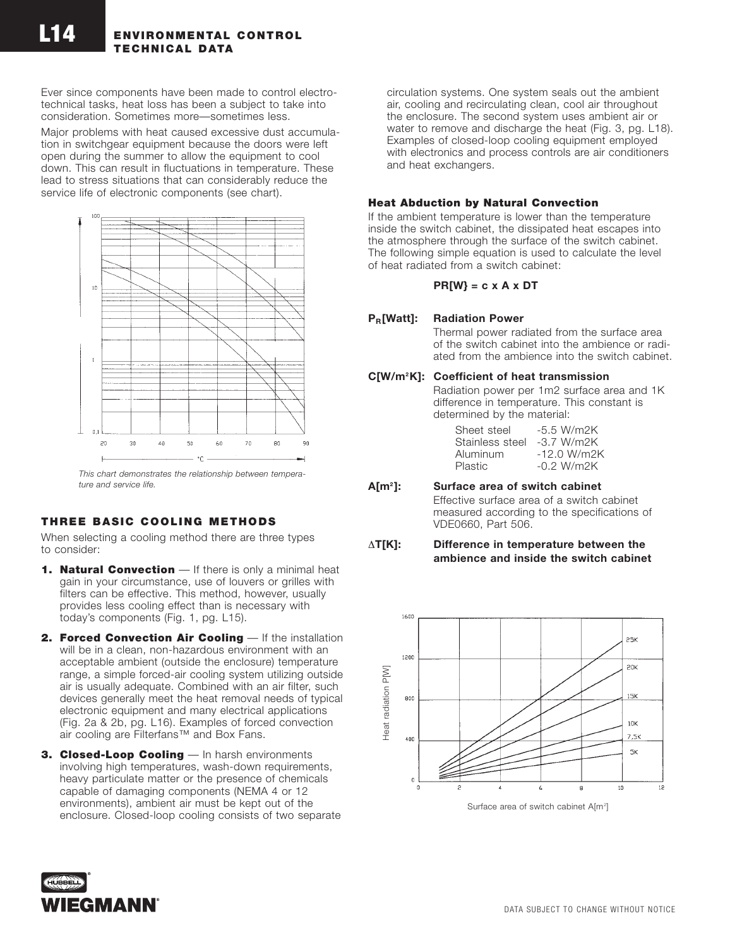Ever since components have been made to control electrotechnical tasks, heat loss has been a subject to take into consideration. Sometimes more—sometimes less.

Major problems with heat caused excessive dust accumulation in switchgear equipment because the doors were left open during the summer to allow the equipment to cool down. This can result in fluctuations in temperature. These lead to stress situations that can considerably reduce the service life of electronic components (see chart).



*This chart demonstrates the relationship between temperature and service life.*

# **THREE BASIC COOLING METHODS**

When selecting a cooling method there are three types to consider:

- **1. Natural Convection** If there is only a minimal heat gain in your circumstance, use of louvers or grilles with filters can be effective. This method, however, usually provides less cooling effect than is necessary with today's components (Fig. 1, pg. L15).
- **2. Forced Convection Air Cooling** If the installation will be in a clean, non-hazardous environment with an acceptable ambient (outside the enclosure) temperature range, a simple forced-air cooling system utilizing outside air is usually adequate. Combined with an air filter, such devices generally meet the heat removal needs of typical electronic equipment and many electrical applications (Fig. 2a & 2b, pg. L16). Examples of forced convection air cooling are Filterfans™ and Box Fans.
- **3. Closed-Loop Cooling** In harsh environments involving high temperatures, wash-down requirements, heavy particulate matter or the presence of chemicals capable of damaging components (NEMA 4 or 12 environments), ambient air must be kept out of the enclosure. Closed-loop cooling consists of two separate

circulation systems. One system seals out the ambient air, cooling and recirculating clean, cool air throughout the enclosure. The second system uses ambient air or water to remove and discharge the heat (Fig. 3, pg. L18). Examples of closed-loop cooling equipment employed with electronics and process controls are air conditioners and heat exchangers.

## **Heat Abduction by Natural Convection**

If the ambient temperature is lower than the temperature inside the switch cabinet, the dissipated heat escapes into the atmosphere through the surface of the switch cabinet. The following simple equation is used to calculate the level of heat radiated from a switch cabinet:

### **PR[W} = c x A x DT**

## **PR[Watt]: Radiation Power**

Thermal power radiated from the surface area of the switch cabinet into the ambience or radiated from the ambience into the switch cabinet.

## **C[W/m2K]: Coefficient of heat transmission**

Radiation power per 1m2 surface area and 1K difference in temperature. This constant is determined by the material:

| Sheet steel     | $-5.5 W/m2K$  |
|-----------------|---------------|
| Stainless steel | $-3.7 W/m2K$  |
| Aluminum        | $-12.0 W/m2K$ |
| Plastic         | $-0.2 W/m2K$  |

### **A[m2 ]: Surface area of switch cabinet**

Effective surface area of a switch cabinet measured according to the specifications of VDE0660, Part 506.

### ∆**T[K]: Difference in temperature between the ambience and inside the switch cabinet**



Surface area of switch cabinet A[m<sup>2</sup>]

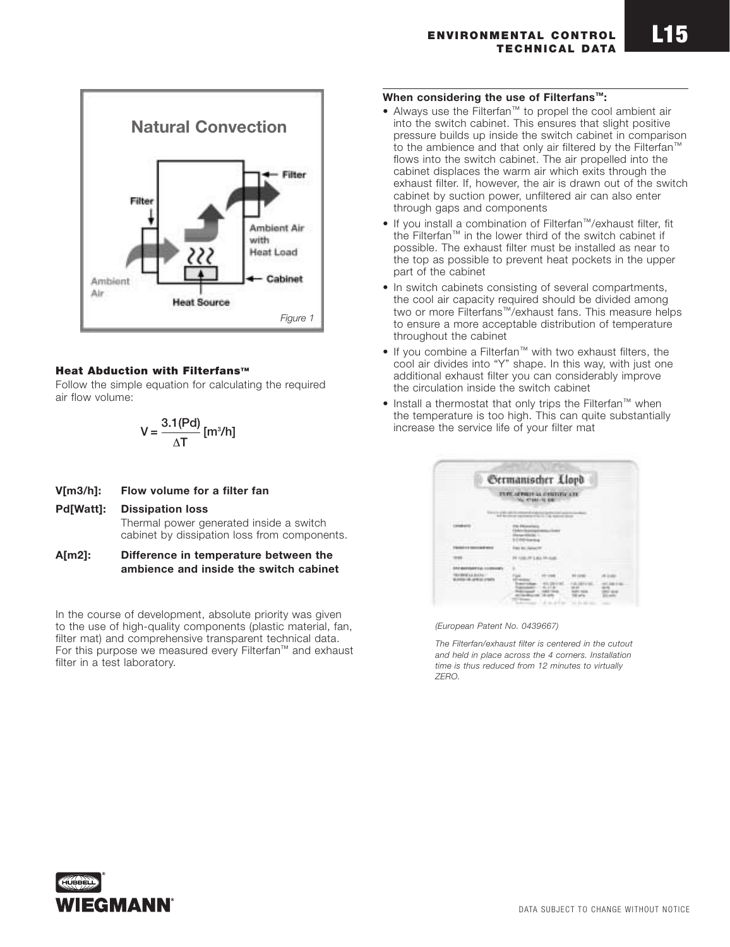

## **Heat Abduction with Filterfans™**

Follow the simple equation for calculating the required air flow volume:

$$
V = \frac{3.1(Pol)}{\Delta T} [m^3/h]
$$

# **V[m3/h]: Flow volume for a filter fan**

### **Pd[Watt]: Dissipation loss**

Thermal power generated inside a switch cabinet by dissipation loss from components.

**A[m2]: Difference in temperature between the ambience and inside the switch cabinet**

In the course of development, absolute priority was given to the use of high-quality components (plastic material, fan, filter mat) and comprehensive transparent technical data. For this purpose we measured every Filterfan™ and exhaust filter in a test laboratory.

### **When considering the use of Filterfans™:**

- Always use the Filterfan™ to propel the cool ambient air into the switch cabinet. This ensures that slight positive pressure builds up inside the switch cabinet in comparison to the ambience and that only air filtered by the Filterfan™ flows into the switch cabinet. The air propelled into the cabinet displaces the warm air which exits through the exhaust filter. If, however, the air is drawn out of the switch cabinet by suction power, unfiltered air can also enter through gaps and components
- If you install a combination of Filterfan™/exhaust filter, fit the Filterfan™ in the lower third of the switch cabinet if possible. The exhaust filter must be installed as near to the top as possible to prevent heat pockets in the upper part of the cabinet
- In switch cabinets consisting of several compartments, the cool air capacity required should be divided among two or more Filterfans™/exhaust fans. This measure helps to ensure a more acceptable distribution of temperature throughout the cabinet
- If you combine a Filterfan™ with two exhaust filters, the cool air divides into "Y" shape. In this way, with just one additional exhaust filter you can considerably improve the circulation inside the switch cabinet
- Install a thermostat that only trips the Filterfan™ when the temperature is too high. This can quite substantially increase the service life of your filter mat

| <b>Sermanischer Llopb</b>             |
|---------------------------------------|
| <b>POSTE LL JUST</b><br><b>TUREAR</b> |
| ÷                                     |
|                                       |
|                                       |
|                                       |
|                                       |

*(European Patent No. 0439667)*

*The Filterfan/exhaust filter is centered in the cutout and held in place across the 4 corners. Installation time is thus reduced from 12 minutes to virtually ZERO.*

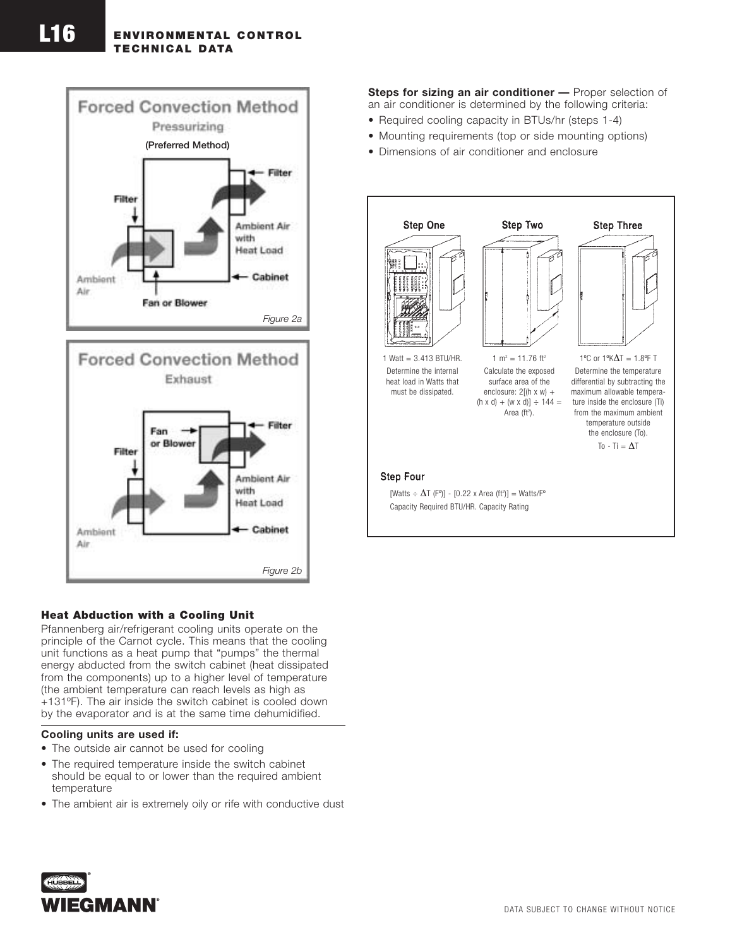# **ENVIRONMENTAL CONTROL TECHNICAL DATA**





### **Heat Abduction with a Cooling Unit**

Pfannenberg air/refrigerant cooling units operate on the principle of the Carnot cycle. This means that the cooling unit functions as a heat pump that "pumps" the thermal energy abducted from the switch cabinet (heat dissipated from the components) up to a higher level of temperature (the ambient temperature can reach levels as high as +131ºF). The air inside the switch cabinet is cooled down by the evaporator and is at the same time dehumidified.

### **Cooling units are used if:**

- The outside air cannot be used for cooling
- The required temperature inside the switch cabinet should be equal to or lower than the required ambient temperature
- The ambient air is extremely oily or rife with conductive dust

**Steps for sizing an air conditioner —** Proper selection of an air conditioner is determined by the following criteria:

- Required cooling capacity in BTUs/hr (steps 1-4)
- Mounting requirements (top or side mounting options)
- Dimensions of air conditioner and enclosure



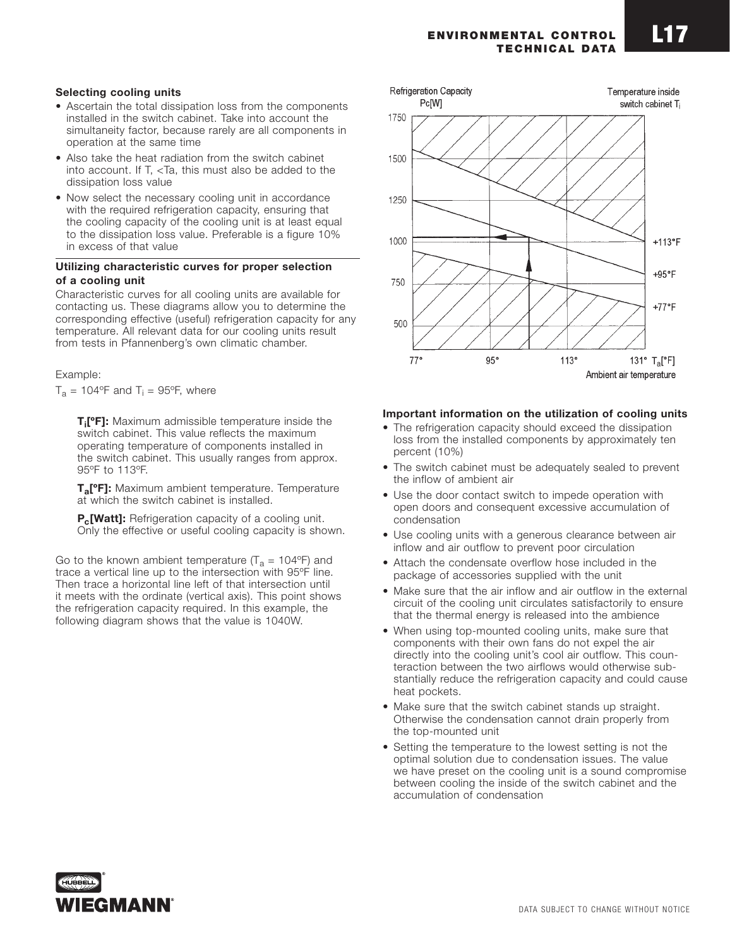#### **ENVIRONMENTAL CONTROL TECHNICAL DATA**

## **Selecting cooling units**

- Ascertain the total dissipation loss from the components installed in the switch cabinet. Take into account the simultaneity factor, because rarely are all components in operation at the same time
- Also take the heat radiation from the switch cabinet into account. If T, <Ta, this must also be added to the dissipation loss value
- Now select the necessary cooling unit in accordance with the required refrigeration capacity, ensuring that the cooling capacity of the cooling unit is at least equal to the dissipation loss value. Preferable is a figure 10% in excess of that value

### **Utilizing characteristic curves for proper selection of a cooling unit**

Characteristic curves for all cooling units are available for contacting us. These diagrams allow you to determine the corresponding effective (useful) refrigeration capacity for any temperature. All relevant data for our cooling units result from tests in Pfannenberg's own climatic chamber.

#### Example:

 $T_a = 104$ °F and  $T_i = 95$ °F, where

**Ti [ºF]:** Maximum admissible temperature inside the switch cabinet. This value reflects the maximum operating temperature of components installed in the switch cabinet. This usually ranges from approx. 95ºF to 113ºF.

**Ta[ºF]:** Maximum ambient temperature. Temperature at which the switch cabinet is installed.

**P<sub>c</sub>[Watt]:** Refrigeration capacity of a cooling unit. Only the effective or useful cooling capacity is shown.

Go to the known ambient temperature ( $T_a$  = 104°F) and trace a vertical line up to the intersection with 95ºF line. Then trace a horizontal line left of that intersection until it meets with the ordinate (vertical axis). This point shows the refrigeration capacity required. In this example, the following diagram shows that the value is 1040W.



### **Important information on the utilization of cooling units**

- The refrigeration capacity should exceed the dissipation loss from the installed components by approximately ten percent (10%)
- The switch cabinet must be adequately sealed to prevent the inflow of ambient air
- Use the door contact switch to impede operation with open doors and consequent excessive accumulation of condensation
- Use cooling units with a generous clearance between air inflow and air outflow to prevent poor circulation
- Attach the condensate overflow hose included in the package of accessories supplied with the unit
- Make sure that the air inflow and air outflow in the external circuit of the cooling unit circulates satisfactorily to ensure that the thermal energy is released into the ambience
- When using top-mounted cooling units, make sure that components with their own fans do not expel the air directly into the cooling unit's cool air outflow. This counteraction between the two airflows would otherwise substantially reduce the refrigeration capacity and could cause heat pockets.
- Make sure that the switch cabinet stands up straight. Otherwise the condensation cannot drain properly from the top-mounted unit
- Setting the temperature to the lowest setting is not the optimal solution due to condensation issues. The value we have preset on the cooling unit is a sound compromise between cooling the inside of the switch cabinet and the accumulation of condensation

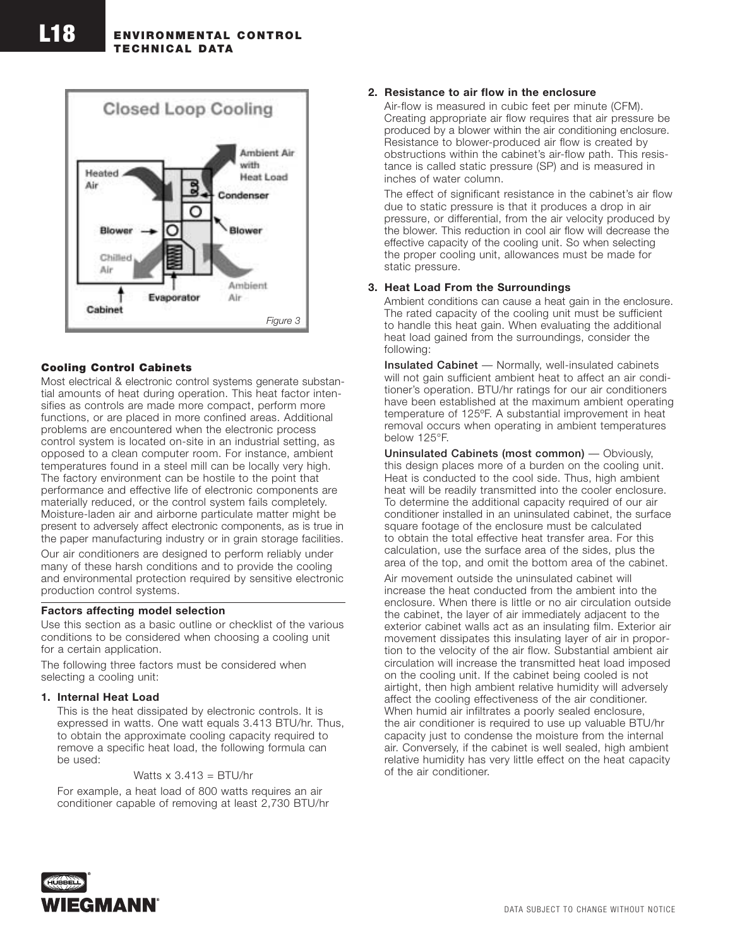

### **Cooling Control Cabinets**

Most electrical & electronic control systems generate substantial amounts of heat during operation. This heat factor intensifies as controls are made more compact, perform more functions, or are placed in more confined areas. Additional problems are encountered when the electronic process control system is located on-site in an industrial setting, as opposed to a clean computer room. For instance, ambient temperatures found in a steel mill can be locally very high. The factory environment can be hostile to the point that performance and effective life of electronic components are materially reduced, or the control system fails completely. Moisture-laden air and airborne particulate matter might be present to adversely affect electronic components, as is true in the paper manufacturing industry or in grain storage facilities.

Our air conditioners are designed to perform reliably under many of these harsh conditions and to provide the cooling and environmental protection required by sensitive electronic production control systems.

#### **Factors affecting model selection**

Use this section as a basic outline or checklist of the various conditions to be considered when choosing a cooling unit for a certain application.

The following three factors must be considered when selecting a cooling unit:

#### **1. Internal Heat Load**

This is the heat dissipated by electronic controls. It is expressed in watts. One watt equals 3.413 BTU/hr. Thus, to obtain the approximate cooling capacity required to remove a specific heat load, the following formula can be used:

#### Watts  $x$  3.413 = BTU/hr

For example, a heat load of 800 watts requires an air conditioner capable of removing at least 2,730 BTU/hr

### **2. Resistance to air flow in the enclosure**

Air-flow is measured in cubic feet per minute (CFM). Creating appropriate air flow requires that air pressure be produced by a blower within the air conditioning enclosure. Resistance to blower-produced air flow is created by obstructions within the cabinet's air-flow path. This resistance is called static pressure (SP) and is measured in inches of water column.

The effect of significant resistance in the cabinet's air flow due to static pressure is that it produces a drop in air pressure, or differential, from the air velocity produced by the blower. This reduction in cool air flow will decrease the effective capacity of the cooling unit. So when selecting the proper cooling unit, allowances must be made for static pressure.

### **3. Heat Load From the Surroundings**

Ambient conditions can cause a heat gain in the enclosure. The rated capacity of the cooling unit must be sufficient to handle this heat gain. When evaluating the additional heat load gained from the surroundings, consider the following:

**Insulated Cabinet** — Normally, well-insulated cabinets will not gain sufficient ambient heat to affect an air conditioner's operation. BTU/hr ratings for our air conditioners have been established at the maximum ambient operating temperature of 125ºF. A substantial improvement in heat removal occurs when operating in ambient temperatures below 125°F.

**Uninsulated Cabinets (most common)** — Obviously, this design places more of a burden on the cooling unit. Heat is conducted to the cool side. Thus, high ambient heat will be readily transmitted into the cooler enclosure. To determine the additional capacity required of our air conditioner installed in an uninsulated cabinet, the surface square footage of the enclosure must be calculated to obtain the total effective heat transfer area. For this calculation, use the surface area of the sides, plus the area of the top, and omit the bottom area of the cabinet.

Air movement outside the uninsulated cabinet will increase the heat conducted from the ambient into the enclosure. When there is little or no air circulation outside the cabinet, the layer of air immediately adjacent to the exterior cabinet walls act as an insulating film. Exterior air movement dissipates this insulating layer of air in proportion to the velocity of the air flow. Substantial ambient air circulation will increase the transmitted heat load imposed on the cooling unit. If the cabinet being cooled is not airtight, then high ambient relative humidity will adversely affect the cooling effectiveness of the air conditioner. When humid air infiltrates a poorly sealed enclosure, the air conditioner is required to use up valuable BTU/hr capacity just to condense the moisture from the internal air. Conversely, if the cabinet is well sealed, high ambient relative humidity has very little effect on the heat capacity of the air conditioner.